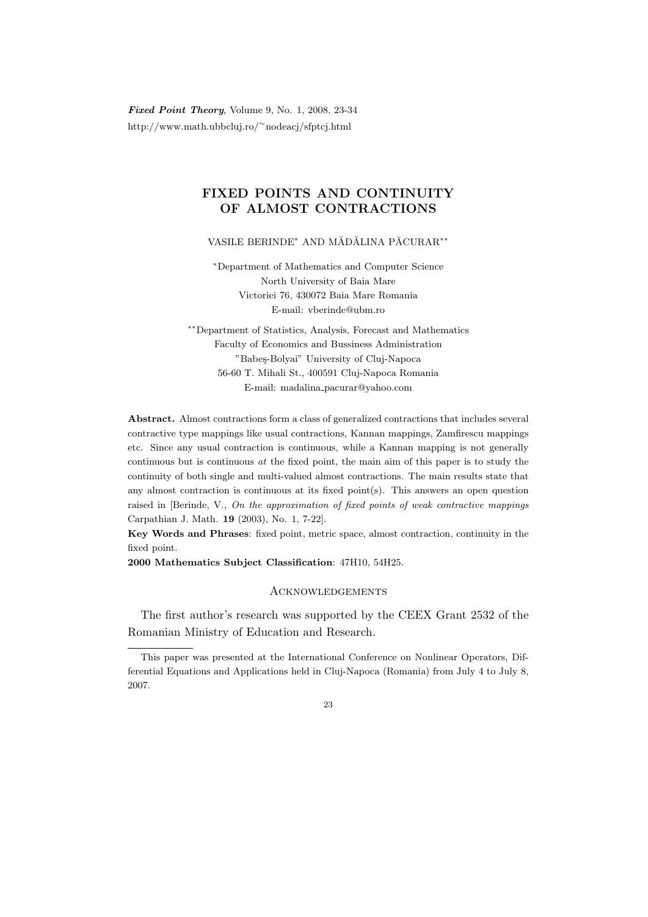Fixed Point Theory, Volume 9, No. 1, 2008, 23-34 http://www.math.ubbcluj.ro/<sup>∼</sup>nodeacj/sfptcj.html

## FIXED POINTS AND CONTINUITY OF ALMOST CONTRACTIONS

VASILE BERINDE<sup>∗</sup> AND MĂDĂLINA PĂCURAR<sup>\*\*</sup>

<sup>∗</sup>Department of Mathematics and Computer Science North University of Baia Mare Victoriei 76, 430072 Baia Mare Romania E-mail: vberinde@ubm.ro

∗∗Department of Statistics, Analysis, Forecast and Mathematics Faculty of Economics and Bussiness Administration "Babeş-Bolyai" University of Cluj-Napoca 56-60 T. Mihali St., 400591 Cluj-Napoca Romania E-mail: madalina pacurar@yahoo.com

Abstract. Almost contractions form a class of generalized contractions that includes several contractive type mappings like usual contractions, Kannan mappings, Zamfirescu mappings etc. Since any usual contraction is continuous, while a Kannan mapping is not generally continuous but is continuous  $at$  the fixed point, the main aim of this paper is to study the continuity of both single and multi-valued almost contractions. The main results state that any almost contraction is continuous at its fixed point $(s)$ . This answers an open question raised in [Berinde, V., On the approximation of fixed points of weak contractive mappings Carpathian J. Math. 19 (2003), No. 1, 7-22].

Key Words and Phrases: fixed point, metric space, almost contraction, continuity in the fixed point.

2000 Mathematics Subject Classification: 47H10, 54H25.

## **ACKNOWLEDGEMENTS**

The first author's research was supported by the CEEX Grant 2532 of the Romanian Ministry of Education and Research.

This paper was presented at the International Conference on Nonlinear Operators, Differential Equations and Applications held in Cluj-Napoca (Romania) from July 4 to July 8, 2007.

 $23$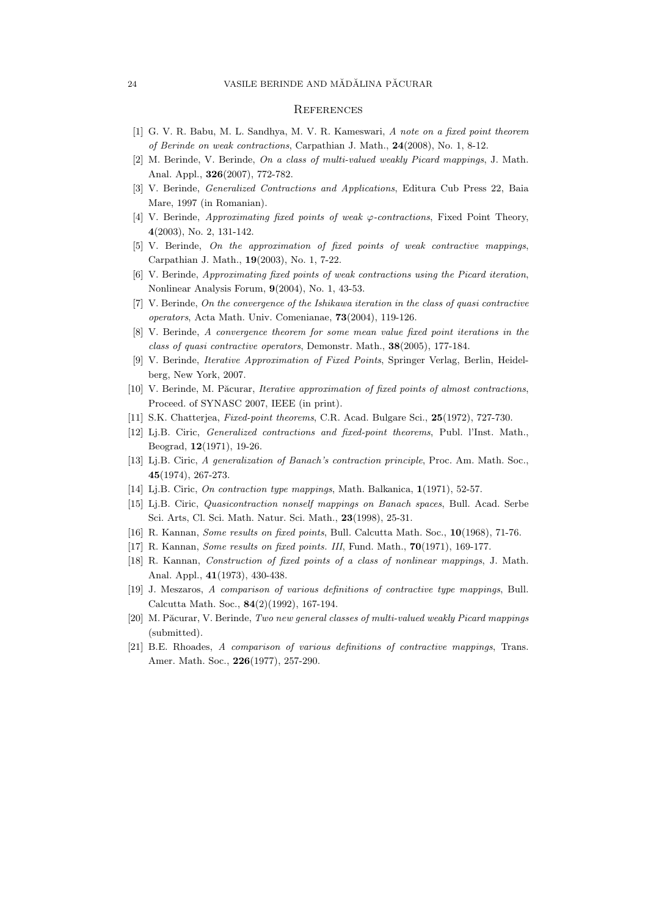## **REFERENCES**

- [1] G. V. R. Babu, M. L. Sandhya, M. V. R. Kameswari, A note on a fixed point theorem of Berinde on weak contractions, Carpathian J. Math., 24(2008), No. 1, 8-12.
- [2] M. Berinde, V. Berinde, On a class of multi-valued weakly Picard mappings, J. Math. Anal. Appl., 326(2007), 772-782.
- [3] V. Berinde, Generalized Contractions and Applications, Editura Cub Press 22, Baia Mare, 1997 (in Romanian).
- [4] V. Berinde, *Approximating fixed points of weak*  $\varphi$ *-contractions*, Fixed Point Theory, 4(2003), No. 2, 131-142.
- [5] V. Berinde, On the approximation of fixed points of weak contractive mappings, Carpathian J. Math., 19(2003), No. 1, 7-22.
- [6] V. Berinde, Approximating fixed points of weak contractions using the Picard iteration, Nonlinear Analysis Forum, 9(2004), No. 1, 43-53.
- [7] V. Berinde, On the convergence of the Ishikawa iteration in the class of quasi contractive operators, Acta Math. Univ. Comenianae, 73(2004), 119-126.
- [8] V. Berinde, A convergence theorem for some mean value fixed point iterations in the class of quasi contractive operators, Demonstr. Math., 38(2005), 177-184.
- [9] V. Berinde, Iterative Approximation of Fixed Points, Springer Verlag, Berlin, Heidelberg, New York, 2007.
- [10] V. Berinde, M. Păcurar, Iterative approximation of fixed points of almost contractions, Proceed. of SYNASC 2007, IEEE (in print).
- [11] S.K. Chatterjea, Fixed-point theorems, C.R. Acad. Bulgare Sci., 25(1972), 727-730.
- [12] Lj.B. Ciric, Generalized contractions and fixed-point theorems, Publ. l'Inst. Math., Beograd, 12(1971), 19-26.
- [13] Lj.B. Ciric, A generalization of Banach's contraction principle, Proc. Am. Math. Soc., 45(1974), 267-273.
- [14] Li.B. Ciric, *On contraction type mappings*, Math. Balkanica, 1(1971), 52-57.
- [15] Lj.B. Ciric, Quasicontraction nonself mappings on Banach spaces, Bull. Acad. Serbe Sci. Arts, Cl. Sci. Math. Natur. Sci. Math., 23(1998), 25-31.
- [16] R. Kannan, Some results on fixed points, Bull. Calcutta Math. Soc., 10(1968), 71-76.
- [17] R. Kannan, *Some results on fixed points. III*, Fund. Math., **70**(1971), 169-177.
- [18] R. Kannan, Construction of fixed points of a class of nonlinear mappings, J. Math. Anal. Appl., 41(1973), 430-438.
- [19] J. Meszaros, A comparison of various definitions of contractive type mappings, Bull. Calcutta Math. Soc., 84(2)(1992), 167-194.
- [20] M. Păcurar, V. Berinde, Two new general classes of multi-valued weakly Picard mappings (submitted).
- [21] B.E. Rhoades, A comparison of various definitions of contractive mappings, Trans. Amer. Math. Soc., 226(1977), 257-290.